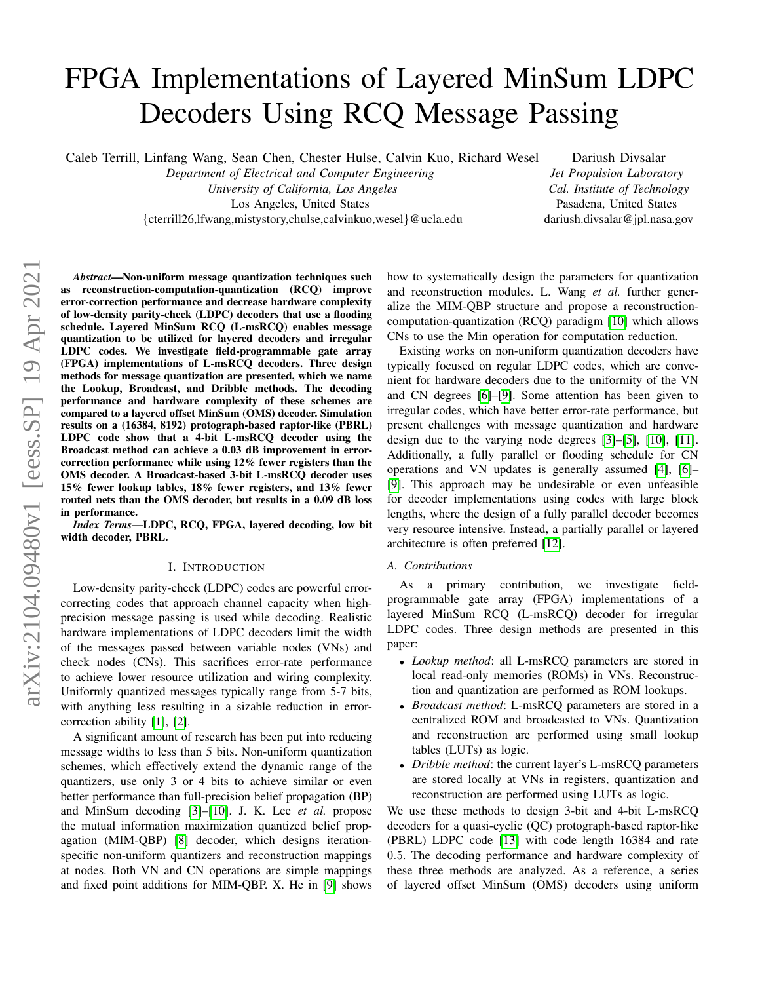# FPGA Implementations of Layered MinSum LDPC Decoders Using RCQ Message Passing

Caleb Terrill, Linfang Wang, Sean Chen, Chester Hulse, Calvin Kuo, Richard Wesel

*Department of Electrical and Computer Engineering*

*University of California, Los Angeles*

Los Angeles, United States

{cterrill26,lfwang,mistystory,chulse,calvinkuo,wesel}@ucla.edu

Dariush Divsalar *Jet Propulsion Laboratory Cal. Institute of Technology* Pasadena, United States dariush.divsalar@jpl.nasa.gov

*Abstract*—Non-uniform message quantization techniques such as reconstruction-computation-quantization (RCQ) improve error-correction performance and decrease hardware complexity of low-density parity-check (LDPC) decoders that use a flooding schedule. Layered MinSum RCQ (L-msRCQ) enables message quantization to be utilized for layered decoders and irregular LDPC codes. We investigate field-programmable gate array (FPGA) implementations of L-msRCQ decoders. Three design methods for message quantization are presented, which we name the Lookup, Broadcast, and Dribble methods. The decoding performance and hardware complexity of these schemes are compared to a layered offset MinSum (OMS) decoder. Simulation results on a (16384, 8192) protograph-based raptor-like (PBRL) LDPC code show that a 4-bit L-msRCQ decoder using the Broadcast method can achieve a 0.03 dB improvement in errorcorrection performance while using 12% fewer registers than the OMS decoder. A Broadcast-based 3-bit L-msRCQ decoder uses 15% fewer lookup tables, 18% fewer registers, and 13% fewer routed nets than the OMS decoder, but results in a 0.09 dB loss in performance.

*Index Terms*—LDPC, RCQ, FPGA, layered decoding, low bit width decoder, PBRL.

#### I. INTRODUCTION

Low-density parity-check (LDPC) codes are powerful errorcorrecting codes that approach channel capacity when highprecision message passing is used while decoding. Realistic hardware implementations of LDPC decoders limit the width of the messages passed between variable nodes (VNs) and check nodes (CNs). This sacrifices error-rate performance to achieve lower resource utilization and wiring complexity. Uniformly quantized messages typically range from 5-7 bits, with anything less resulting in a sizable reduction in errorcorrection ability [\[1\]](#page-5-0), [\[2\]](#page-5-1).

A significant amount of research has been put into reducing message widths to less than 5 bits. Non-uniform quantization schemes, which effectively extend the dynamic range of the quantizers, use only 3 or 4 bits to achieve similar or even better performance than full-precision belief propagation (BP) and MinSum decoding [\[3\]](#page-5-2)–[\[10\]](#page-5-3). J. K. Lee *et al.* propose the mutual information maximization quantized belief propagation (MIM-QBP) [\[8\]](#page-5-4) decoder, which designs iterationspecific non-uniform quantizers and reconstruction mappings at nodes. Both VN and CN operations are simple mappings and fixed point additions for MIM-QBP. X. He in [\[9\]](#page-5-5) shows how to systematically design the parameters for quantization and reconstruction modules. L. Wang *et al.* further generalize the MIM-QBP structure and propose a reconstructioncomputation-quantization (RCQ) paradigm [\[10\]](#page-5-3) which allows CNs to use the Min operation for computation reduction.

Existing works on non-uniform quantization decoders have typically focused on regular LDPC codes, which are convenient for hardware decoders due to the uniformity of the VN and CN degrees [\[6\]](#page-5-6)–[\[9\]](#page-5-5). Some attention has been given to irregular codes, which have better error-rate performance, but present challenges with message quantization and hardware design due to the varying node degrees [\[3\]](#page-5-2)–[\[5\]](#page-5-7), [\[10\]](#page-5-3), [\[11\]](#page-5-8). Additionally, a fully parallel or flooding schedule for CN operations and VN updates is generally assumed [\[4\]](#page-5-9), [\[6\]](#page-5-6)– [\[9\]](#page-5-5). This approach may be undesirable or even unfeasible for decoder implementations using codes with large block lengths, where the design of a fully parallel decoder becomes very resource intensive. Instead, a partially parallel or layered architecture is often preferred [\[12\]](#page-5-10).

#### *A. Contributions*

As a primary contribution, we investigate fieldprogrammable gate array (FPGA) implementations of a layered MinSum RCQ (L-msRCQ) decoder for irregular LDPC codes. Three design methods are presented in this paper:

- *Lookup method*: all L-msRCQ parameters are stored in local read-only memories (ROMs) in VNs. Reconstruction and quantization are performed as ROM lookups.
- *Broadcast method*: L-msRCQ parameters are stored in a centralized ROM and broadcasted to VNs. Quantization and reconstruction are performed using small lookup tables (LUTs) as logic.
- *Dribble method*: the current layer's L-msRCQ parameters are stored locally at VNs in registers, quantization and reconstruction are performed using LUTs as logic.

We use these methods to design 3-bit and 4-bit L-msRCQ decoders for a quasi-cyclic (QC) protograph-based raptor-like (PBRL) LDPC code [\[13\]](#page-5-11) with code length 16384 and rate 0.5. The decoding performance and hardware complexity of these three methods are analyzed. As a reference, a series of layered offset MinSum (OMS) decoders using uniform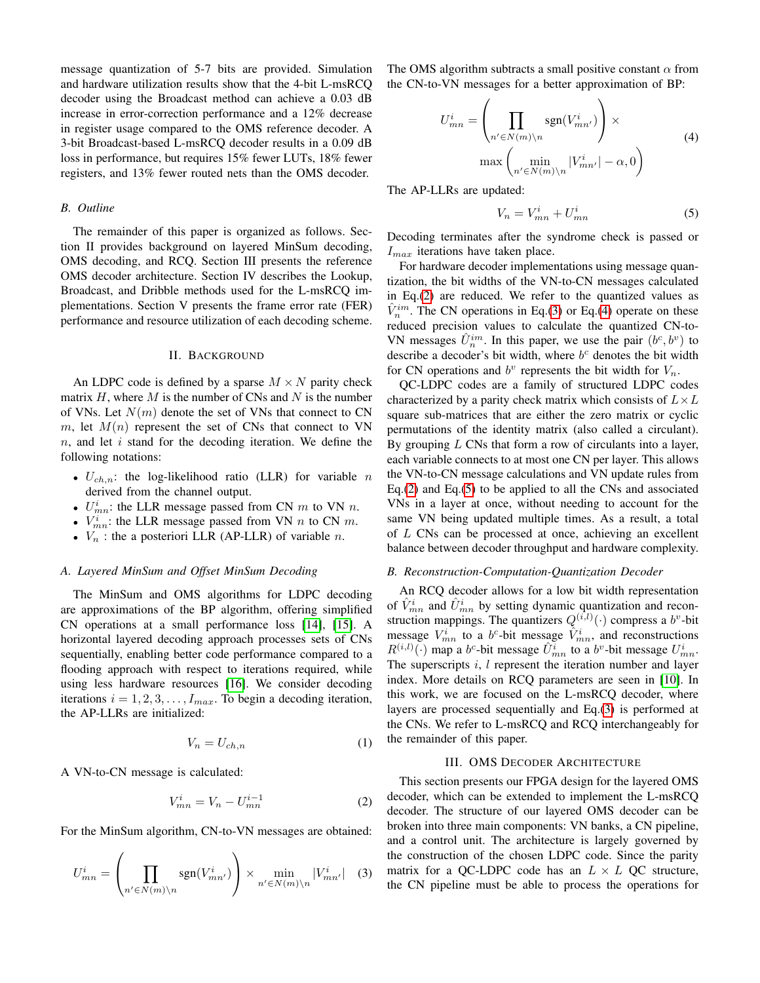message quantization of 5-7 bits are provided. Simulation and hardware utilization results show that the 4-bit L-msRCQ decoder using the Broadcast method can achieve a 0.03 dB increase in error-correction performance and a 12% decrease in register usage compared to the OMS reference decoder. A 3-bit Broadcast-based L-msRCQ decoder results in a 0.09 dB loss in performance, but requires 15% fewer LUTs, 18% fewer registers, and 13% fewer routed nets than the OMS decoder.

#### *B. Outline*

The remainder of this paper is organized as follows. Section II provides background on layered MinSum decoding, OMS decoding, and RCQ. Section III presents the reference OMS decoder architecture. Section IV describes the Lookup, Broadcast, and Dribble methods used for the L-msRCQ implementations. Section V presents the frame error rate (FER) performance and resource utilization of each decoding scheme.

#### II. BACKGROUND

An LDPC code is defined by a sparse  $M \times N$  parity check matrix  $H$ , where  $M$  is the number of CNs and  $N$  is the number of VNs. Let  $N(m)$  denote the set of VNs that connect to CN m, let  $M(n)$  represent the set of CNs that connect to VN  $n$ , and let i stand for the decoding iteration. We define the following notations:

- $U_{ch,n}$ : the log-likelihood ratio (LLR) for variable n derived from the channel output.
- $U_{mn}^i$ : the LLR message passed from CN m to VN n.
- $V_{mn}^i$ : the LLR message passed from VN *n* to CN *m*.
- $V_n$ : the a posteriori LLR (AP-LLR) of variable *n*.

## *A. Layered MinSum and Offset MinSum Decoding*

The MinSum and OMS algorithms for LDPC decoding are approximations of the BP algorithm, offering simplified CN operations at a small performance loss [\[14\]](#page-5-12), [\[15\]](#page-5-13). A horizontal layered decoding approach processes sets of CNs sequentially, enabling better code performance compared to a flooding approach with respect to iterations required, while using less hardware resources [\[16\]](#page-5-14). We consider decoding iterations  $i = 1, 2, 3, \dots, I_{max}$ . To begin a decoding iteration, the AP-LLRs are initialized:

$$
V_n = U_{ch,n} \tag{1}
$$

A VN-to-CN message is calculated:

<span id="page-1-0"></span>
$$
V_{mn}^i = V_n - U_{mn}^{i-1}
$$
 (2)

For the MinSum algorithm, CN-to-VN messages are obtained:

<span id="page-1-1"></span>
$$
U_{mn}^i = \left(\prod_{n' \in N(m)\backslash n} \text{sgn}(V_{mn'}^i)\right) \times \min_{n' \in N(m)\backslash n} |V_{mn'}^i| \quad (3)
$$

The OMS algorithm subtracts a small positive constant  $\alpha$  from the CN-to-VN messages for a better approximation of BP:

<span id="page-1-2"></span>
$$
U_{mn}^{i} = \left(\prod_{n' \in N(m)\backslash n} \text{sgn}(V_{mn'}^{i})\right) \times \max\left(\min_{n' \in N(m)\backslash n} |V_{mn'}^{i}| - \alpha, 0\right)
$$
\n(4)

The AP-LLRs are updated:

<span id="page-1-3"></span>
$$
V_n = V_{mn}^i + U_{mn}^i \tag{5}
$$

Decoding terminates after the syndrome check is passed or  $I_{max}$  iterations have taken place.

For hardware decoder implementations using message quantization, the bit widths of the VN-to-CN messages calculated in Eq.[\(2\)](#page-1-0) are reduced. We refer to the quantized values as  $\hat{V}_n^{im}$ . The CN operations in Eq.[\(3\)](#page-1-1) or Eq.[\(4\)](#page-1-2) operate on these reduced precision values to calculate the quantized CN-to-VN messages  $\hat{U}_n^{im}$ . In this paper, we use the pair  $(b^c, b^v)$  to describe a decoder's bit width, where  $b<sup>c</sup>$  denotes the bit width for CN operations and  $b^v$  represents the bit width for  $V_n$ .

QC-LDPC codes are a family of structured LDPC codes characterized by a parity check matrix which consists of  $L \times L$ square sub-matrices that are either the zero matrix or cyclic permutations of the identity matrix (also called a circulant). By grouping  $L$  CNs that form a row of circulants into a layer, each variable connects to at most one CN per layer. This allows the VN-to-CN message calculations and VN update rules from Eq.[\(2\)](#page-1-0) and Eq.[\(5\)](#page-1-3) to be applied to all the CNs and associated VNs in a layer at once, without needing to account for the same VN being updated multiple times. As a result, a total of L CNs can be processed at once, achieving an excellent balance between decoder throughput and hardware complexity.

#### *B. Reconstruction-Computation-Quantization Decoder*

An RCQ decoder allows for a low bit width representation of  $\hat{V}_{mn}^i$  and  $\hat{U}_{mn}^i$  by setting dynamic quantization and reconstruction mappings. The quantizers  $Q^{(i,l)}(.)$  compress a  $b^v$ -bit message  $V_{mn}^i$  to a b<sup>c</sup>-bit message  $\hat{V}_{mn}^i$ , and reconstructions  $R^{(i,l)}(\cdot)$  map a b<sup>c</sup>-bit message  $\hat{U}_{mn}^i$  to a b<sup>v</sup>-bit message  $U_{mn}^i$ . The superscripts  $i, l$  represent the iteration number and layer index. More details on RCQ parameters are seen in [\[10\]](#page-5-3). In this work, we are focused on the L-msRCQ decoder, where layers are processed sequentially and Eq.[\(3\)](#page-1-1) is performed at the CNs. We refer to L-msRCQ and RCQ interchangeably for the remainder of this paper.

#### III. OMS DECODER ARCHITECTURE

This section presents our FPGA design for the layered OMS decoder, which can be extended to implement the L-msRCQ decoder. The structure of our layered OMS decoder can be broken into three main components: VN banks, a CN pipeline, and a control unit. The architecture is largely governed by the construction of the chosen LDPC code. Since the parity matrix for a QC-LDPC code has an  $L \times L$  QC structure, the CN pipeline must be able to process the operations for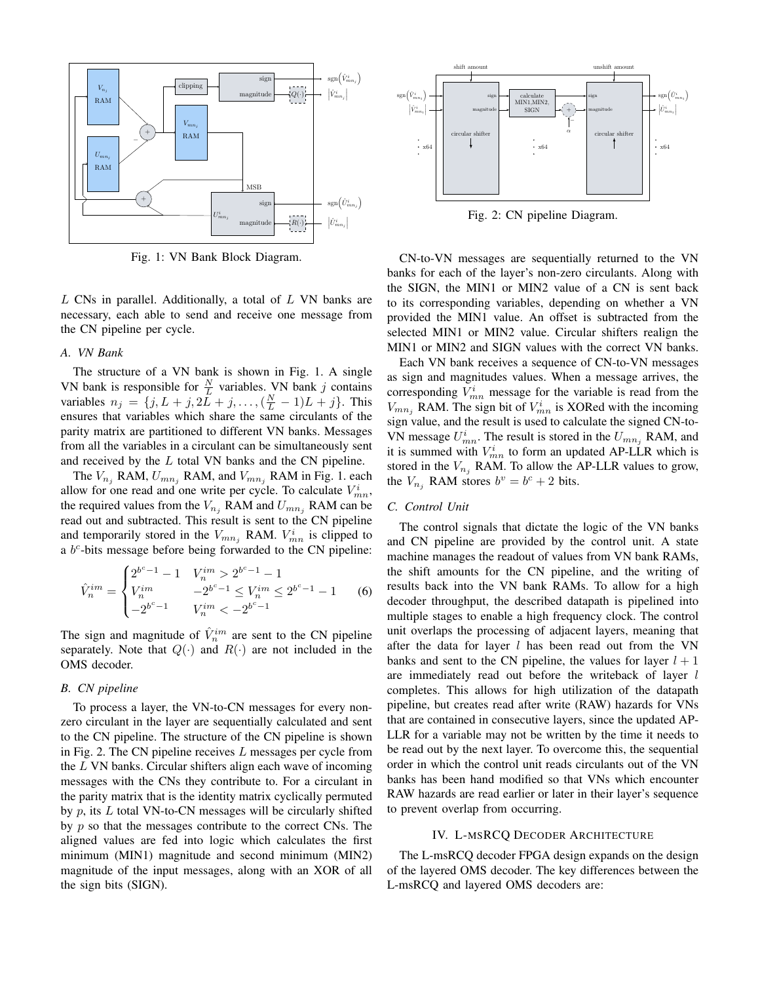

Fig. 1: VN Bank Block Diagram.

 $L$  CNs in parallel. Additionally, a total of  $L$  VN banks are necessary, each able to send and receive one message from the CN pipeline per cycle.

## *A. VN Bank*

The structure of a VN bank is shown in Fig. 1. A single VN bank is responsible for  $\frac{N}{L}$  variables. VN bank j contains variables  $n_j = \{j, L + j, 2\bar{L} + j, ..., (\frac{N}{L} - 1)L + j\}$ . This ensures that variables which share the same circulants of the parity matrix are partitioned to different VN banks. Messages from all the variables in a circulant can be simultaneously sent and received by the L total VN banks and the CN pipeline.

The  $V_{n_j}$  RAM,  $U_{mn_j}$  RAM, and  $V_{mn_j}$  RAM in Fig. 1. each allow for one read and one write per cycle. To calculate  $V_{mn}^i$ , the required values from the  $V_{n_i}$  RAM and  $U_{mn_i}$  RAM can be read out and subtracted. This result is sent to the CN pipeline and temporarily stored in the  $V_{mn_j}$  RAM.  $V_{mn}^i$  is clipped to a  $b<sup>c</sup>$ -bits message before being forwarded to the CN pipeline:

$$
\hat{V}_n^{im} = \begin{cases}\n2^{b^c - 1} - 1 & V_n^{im} > 2^{b^c - 1} - 1 \\
V_n^{im} & -2^{b^c - 1} \le V_n^{im} \le 2^{b^c - 1} - 1 \\
-2^{b^c - 1} & V_n^{im} < -2^{b^c - 1}\n\end{cases}
$$
\n(6)

The sign and magnitude of  $\hat{V}_n^{im}$  are sent to the CN pipeline separately. Note that  $Q(\cdot)$  and  $R(\cdot)$  are not included in the OMS decoder.

## *B. CN pipeline*

To process a layer, the VN-to-CN messages for every nonzero circulant in the layer are sequentially calculated and sent to the CN pipeline. The structure of the CN pipeline is shown in Fig. 2. The CN pipeline receives  $L$  messages per cycle from the  $L$  VN banks. Circular shifters align each wave of incoming messages with the CNs they contribute to. For a circulant in the parity matrix that is the identity matrix cyclically permuted by  $p$ , its  $L$  total VN-to-CN messages will be circularly shifted by  $p$  so that the messages contribute to the correct CNs. The aligned values are fed into logic which calculates the first minimum (MIN1) magnitude and second minimum (MIN2) magnitude of the input messages, along with an XOR of all the sign bits (SIGN).



Fig. 2: CN pipeline Diagram.

CN-to-VN messages are sequentially returned to the VN banks for each of the layer's non-zero circulants. Along with the SIGN, the MIN1 or MIN2 value of a CN is sent back to its corresponding variables, depending on whether a VN provided the MIN1 value. An offset is subtracted from the selected MIN1 or MIN2 value. Circular shifters realign the MIN1 or MIN2 and SIGN values with the correct VN banks.

Each VN bank receives a sequence of CN-to-VN messages as sign and magnitudes values. When a message arrives, the corresponding  $V_{mn}^i$  message for the variable is read from the  $V_{mn_j}$  RAM. The sign bit of  $V_{mn}^i$  is XORed with the incoming sign value, and the result is used to calculate the signed CN-to-VN message  $U_{mn}^i$ . The result is stored in the  $U_{mn_j}$  RAM, and it is summed with  $V_{mn}^i$  to form an updated AP-LLR which is stored in the  $V_{n_i}$  RAM. To allow the AP-LLR values to grow, the  $V_{n_j}$  RAM stores  $b^v = b^c + 2$  bits.

## *C. Control Unit*

The control signals that dictate the logic of the VN banks and CN pipeline are provided by the control unit. A state machine manages the readout of values from VN bank RAMs, the shift amounts for the CN pipeline, and the writing of results back into the VN bank RAMs. To allow for a high decoder throughput, the described datapath is pipelined into multiple stages to enable a high frequency clock. The control unit overlaps the processing of adjacent layers, meaning that after the data for layer  $l$  has been read out from the VN banks and sent to the CN pipeline, the values for layer  $l + 1$ are immediately read out before the writeback of layer l completes. This allows for high utilization of the datapath pipeline, but creates read after write (RAW) hazards for VNs that are contained in consecutive layers, since the updated AP-LLR for a variable may not be written by the time it needs to be read out by the next layer. To overcome this, the sequential order in which the control unit reads circulants out of the VN banks has been hand modified so that VNs which encounter RAW hazards are read earlier or later in their layer's sequence to prevent overlap from occurring.

#### IV. L-MSRCQ DECODER ARCHITECTURE

The L-msRCQ decoder FPGA design expands on the design of the layered OMS decoder. The key differences between the L-msRCQ and layered OMS decoders are: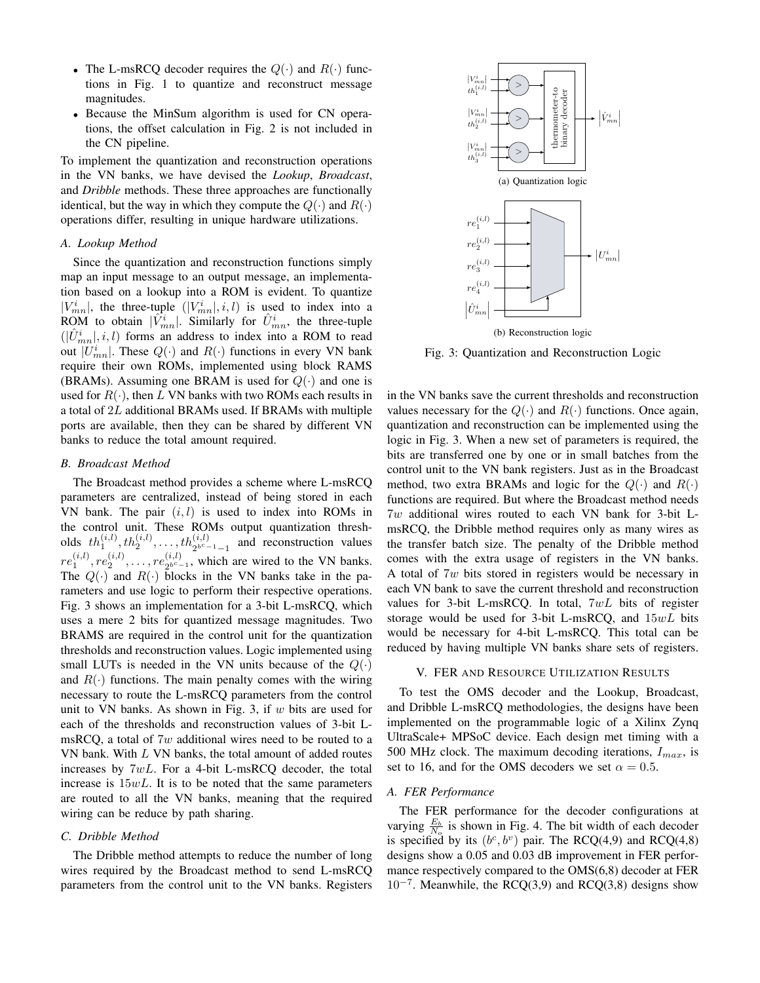- The L-msRCQ decoder requires the  $Q(\cdot)$  and  $R(\cdot)$  functions in Fig. 1 to quantize and reconstruct message magnitudes.
- Because the MinSum algorithm is used for CN operations, the offset calculation in Fig. 2 is not included in the CN pipeline.

To implement the quantization and reconstruction operations in the VN banks, we have devised the *Lookup*, *Broadcast*, and *Dribble* methods. These three approaches are functionally identical, but the way in which they compute the  $Q(\cdot)$  and  $R(\cdot)$ operations differ, resulting in unique hardware utilizations.

## *A. Lookup Method*

Since the quantization and reconstruction functions simply map an input message to an output message, an implementation based on a lookup into a ROM is evident. To quantize  $|V^i_{mn}|$ , the three-tuple  $(|V^i_{mn}|, i, l)$  is used to index into a ROM to obtain  $|\hat{V}_{mn}^i|$ . Similarly for  $\hat{U}_{mn}^i$ , the three-tuple  $(|\hat{U}_{mn}^i|, i, l)$  forms an address to index into a ROM to read out  $|U_{mn}^i|$ . These  $Q(\cdot)$  and  $R(\cdot)$  functions in every VN bank require their own ROMs, implemented using block RAMS (BRAMs). Assuming one BRAM is used for  $Q(\cdot)$  and one is used for  $R(\cdot)$ , then L VN banks with two ROMs each results in a total of 2L additional BRAMs used. If BRAMs with multiple ports are available, then they can be shared by different VN banks to reduce the total amount required.

## *B. Broadcast Method*

The Broadcast method provides a scheme where L-msRCQ parameters are centralized, instead of being stored in each VN bank. The pair  $(i, l)$  is used to index into ROMs in the control unit. These ROMs output quantization thresholds  $th_1^{(i,l)}$ ,  $th_2^{(i,l)}$ , ...,  $th_{2^{b^c-1}-1}^{(i,l)}$  and reconstruction values  $re_1^{(i,l)}, re_2^{(i,l)}, \dots, re_{2^{b^c-}}^{(i,l)}$  $2^{b^c-1}$ , which are wired to the VN banks. The  $Q(\cdot)$  and  $R(\cdot)$  blocks in the VN banks take in the parameters and use logic to perform their respective operations. Fig. 3 shows an implementation for a 3-bit L-msRCQ, which uses a mere 2 bits for quantized message magnitudes. Two BRAMS are required in the control unit for the quantization thresholds and reconstruction values. Logic implemented using small LUTs is needed in the VN units because of the  $Q(\cdot)$ and  $R(\cdot)$  functions. The main penalty comes with the wiring necessary to route the L-msRCQ parameters from the control unit to VN banks. As shown in Fig. 3, if  $w$  bits are used for each of the thresholds and reconstruction values of 3-bit LmsRCQ, a total of  $7w$  additional wires need to be routed to a VN bank. With L VN banks, the total amount of added routes increases by 7wL. For a 4-bit L-msRCQ decoder, the total increase is  $15wL$ . It is to be noted that the same parameters are routed to all the VN banks, meaning that the required wiring can be reduce by path sharing. **Parameters from the control unit to the control unit to the control unit to the control unit to the control unit to the control unit to the control unit to the control unit to the control unit to the control unit to the** 

## *C. Dribble Method*

The Dribble method attempts to reduce the number of long wires required by the Broadcast method to send L-msRCQ



Fig. 3: Quantization and Reconstruction Logic

in the VN banks save the current thresholds and reconstruction values necessary for the  $Q(\cdot)$  and  $R(\cdot)$  functions. Once again, quantization and reconstruction can be implemented using the logic in Fig. 3. When a new set of parameters is required, the bits are transferred one by one or in small batches from the control unit to the VN bank registers. Just as in the Broadcast method, two extra BRAMs and logic for the  $Q(\cdot)$  and  $R(\cdot)$ functions are required. But where the Broadcast method needs 7w additional wires routed to each VN bank for 3-bit LmsRCQ, the Dribble method requires only as many wires as the transfer batch size. The penalty of the Dribble method comes with the extra usage of registers in the VN banks. A total of 7w bits stored in registers would be necessary in each VN bank to save the current threshold and reconstruction values for 3-bit L-msRCQ. In total,  $7wL$  bits of register storage would be used for 3-bit L-msRCQ, and  $15wL$  bits would be necessary for 4-bit L-msRCQ. This total can be reduced by having multiple VN banks share sets of registers.

#### V. FER AND RESOURCE UTILIZATION RESULTS

To test the OMS decoder and the Lookup, Broadcast, and Dribble L-msRCQ methodologies, the designs have been implemented on the programmable logic of a Xilinx Zynq UltraScale+ MPSoC device. Each design met timing with a 500 MHz clock. The maximum decoding iterations,  $I_{max}$ , is set to 16, and for the OMS decoders we set  $\alpha = 0.5$ .

#### *A. FER Performance*

The FER performance for the decoder configurations at varying  $\frac{E_b}{N_o}$  is shown in Fig. 4. The bit width of each decoder is specified by its  $(b^c, b^v)$  pair. The RCQ(4,9) and RCQ(4,8) designs show a 0.05 and 0.03 dB improvement in FER performance respectively compared to the OMS(6,8) decoder at FER 10<sup>−</sup><sup>7</sup> . Meanwhile, the RCQ(3,9) and RCQ(3,8) designs show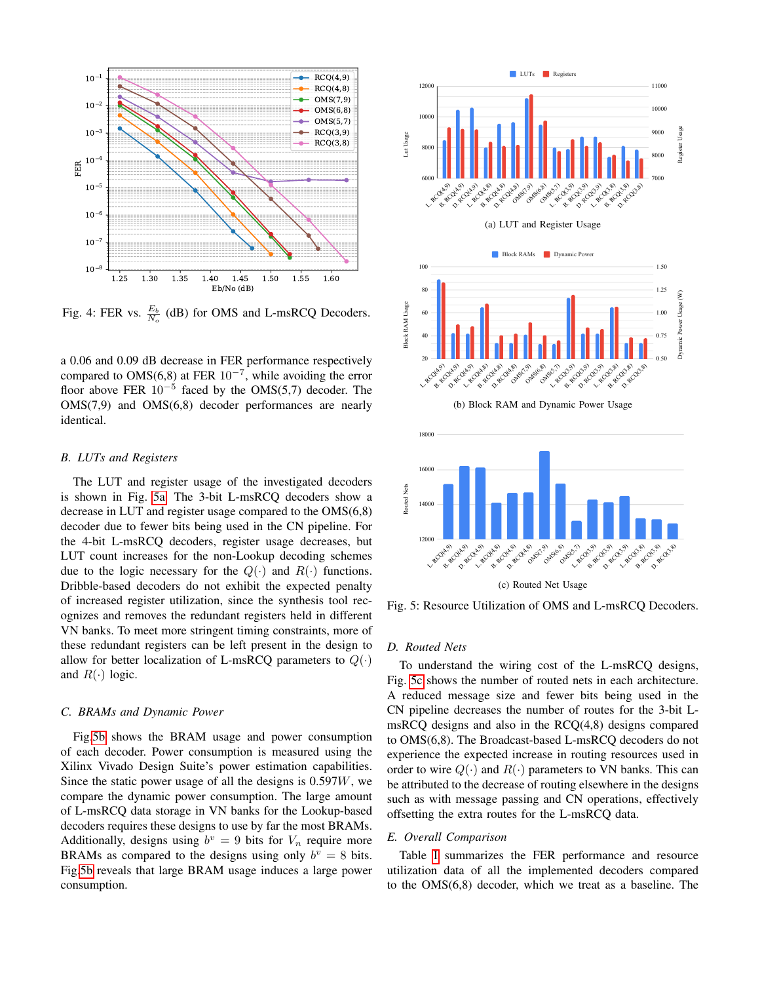

Fig. 4: FER vs.  $\frac{E_b}{N_o}$  (dB) for OMS and L-msRCQ Decoders.

a 0.06 and 0.09 dB decrease in FER performance respectively compared to OMS(6,8) at FER  $10^{-7}$ , while avoiding the error floor above FER  $10^{-5}$  faced by the OMS(5,7) decoder. The OMS(7,9) and OMS(6,8) decoder performances are nearly identical.

#### *B. LUTs and Registers*

The LUT and register usage of the investigated decoders is shown in Fig. [5a.](#page-4-0) The 3-bit L-msRCQ decoders show a decrease in LUT and register usage compared to the OMS(6,8) decoder due to fewer bits being used in the CN pipeline. For the 4-bit L-msRCQ decoders, register usage decreases, but LUT count increases for the non-Lookup decoding schemes due to the logic necessary for the  $Q(\cdot)$  and  $R(\cdot)$  functions. Dribble-based decoders do not exhibit the expected penalty of increased register utilization, since the synthesis tool recognizes and removes the redundant registers held in different VN banks. To meet more stringent timing constraints, more of these redundant registers can be left present in the design to allow for better localization of L-msRCQ parameters to  $Q(\cdot)$ and  $R(\cdot)$  logic.

## *C. BRAMs and Dynamic Power*

Fig[.5b](#page-4-1) shows the BRAM usage and power consumption of each decoder. Power consumption is measured using the Xilinx Vivado Design Suite's power estimation capabilities. Since the static power usage of all the designs is  $0.597W$ , we compare the dynamic power consumption. The large amount of L-msRCQ data storage in VN banks for the Lookup-based decoders requires these designs to use by far the most BRAMs. Additionally, designs using  $b^v = 9$  bits for  $V_n$  require more BRAMs as compared to the designs using only  $b^v = 8$  bits. Fig[.5b](#page-4-1) reveals that large BRAM usage induces a large power consumption.

<span id="page-4-1"></span><span id="page-4-0"></span>

(c) Routed Net Usage

<span id="page-4-2"></span>Fig. 5: Resource Utilization of OMS and L-msRCQ Decoders.

#### *D. Routed Nets*

To understand the wiring cost of the L-msRCQ designs, Fig. [5c](#page-4-2) shows the number of routed nets in each architecture. A reduced message size and fewer bits being used in the CN pipeline decreases the number of routes for the 3-bit LmsRCQ designs and also in the RCQ(4,8) designs compared to OMS(6,8). The Broadcast-based L-msRCQ decoders do not experience the expected increase in routing resources used in order to wire  $Q(\cdot)$  and  $R(\cdot)$  parameters to VN banks. This can be attributed to the decrease of routing elsewhere in the designs such as with message passing and CN operations, effectively offsetting the extra routes for the L-msRCQ data.

#### *E. Overall Comparison*

Table [I](#page-5-15) summarizes the FER performance and resource utilization data of all the implemented decoders compared to the OMS(6,8) decoder, which we treat as a baseline. The